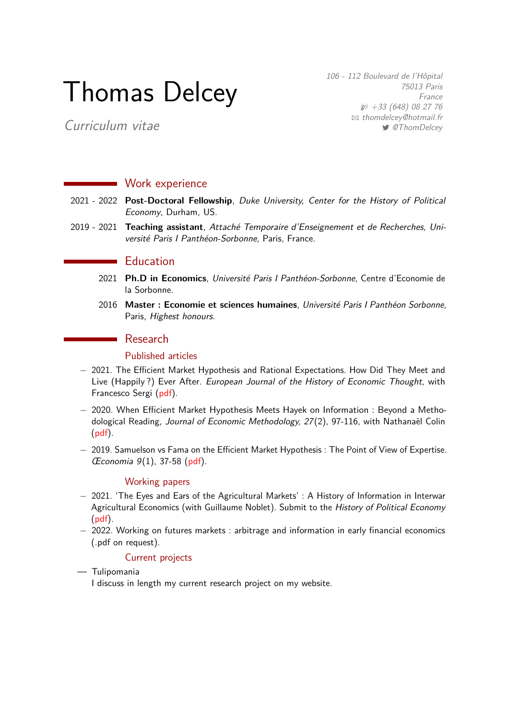# Thomas Delcey

106 - 112 Boulevard de l'Hôpital 75013 Paris France  $\wp$  +33 (648) 08 27 76  $\boxtimes$  [thomdelcey@hotmail.fr](mailto:thomdelcey@hotmail.fr) *S* [@ThomDelcey](http://www.twitter.com/@ThomDelcey)

Curriculum vitae

## **Work experience**

- 2021 2022 **Post-Doctoral Fellowship**, Duke University, Center for the History of Political Economy, Durham, US.
- 2019 2021 **Teaching assistant**, Attaché Temporaire d'Enseignement et de Recherches, Université Paris I Panthéon-Sorbonne, Paris, France.

## **Education**

- 2021 **Ph.D in Economics**, Université Paris I Panthéon-Sorbonne, Centre d'Economie de la Sorbonne.
- 2016 **Master : Economie et sciences humaines**, Université Paris I Panthéon Sorbonne, Paris, Highest honours.

## ■ Research

#### Published articles

- − 2021. The Efficient Market Hypothesis and Rational Expectations. How Did They Meet and Live (Happily?) Ever After. European Journal of the History of Economic Thought, with Francesco Sergi [\(pdf\)](https://hal.archives-ouvertes.fr/hal-02187362).
- − 2020. When Efficient Market Hypothesis Meets Hayek on Information : Beyond a Methodological Reading, Journal of Economic Methodology, 27(2), 97-116, with Nathanaël Colin [\(pdf\)](https://www.tandfonline.com/doi/abs/10.1080/1350178X.2019.1675896).
- − 2019. Samuelson vs Fama on the Efficient Market Hypothesis : The Point of View of Expertise. Œconomia 9(1), 37-58 [\(pdf\)](https://journals.openedition.org/oeconomia/5300).

#### Working papers

- − 2021. 'The Eyes and Ears of the Agricultural Markets' : A History of Information in Interwar Agricultural Economics (with Guillaume Noblet). Submit to the History of Political Economy [\(pdf\)](https://papers.ssrn.com/sol3/papers.cfm?abstract_id=3938209).
- − 2022. Working on futures markets : arbitrage and information in early financial economics (.pdf on request).

#### Current projects

- Tulipomania
	- I discuss in length my current research project on my website.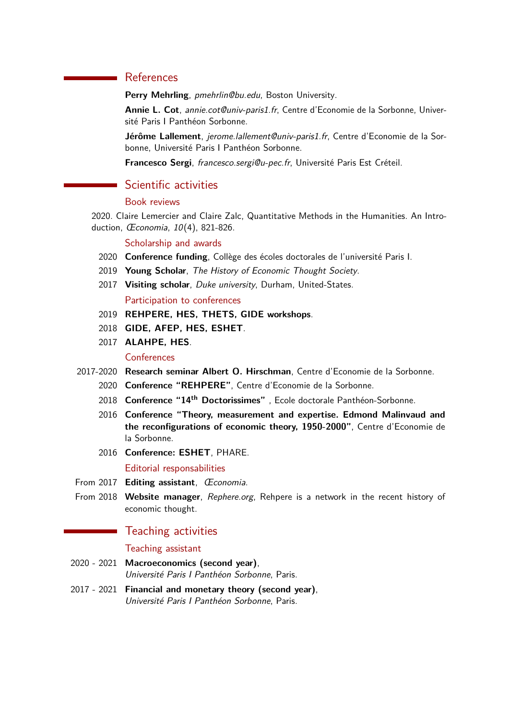# References

Perry Mehrling, pmehrlin@bu.edu, Boston University.

**Annie L. Cot**, annie.cot@univ-paris1.fr, Centre d'Economie de la Sorbonne, Université Paris I Panthéon Sorbonne.

**Jérôme Lallement**, jerome.lallement@univ-paris1.fr, Centre d'Economie de la Sorbonne, Université Paris I Panthéon Sorbonne.

**Francesco Sergi**, francesco.sergi@u-pec.fr, Université Paris Est Créteil.

## Scientific activities

## Book reviews

[2020. Claire Lemercier and Claire Zalc, Quantitative Methods in the Humanities. An Intro](https://journals.openedition.org/oeconomia/9511)duction, Œconomia, 10[\(4\), 821-826.](https://journals.openedition.org/oeconomia/9511)

#### Scholarship and awards

- 2020 **Conference funding**, Collège des écoles doctorales de l'université Paris I.
- 2019 **Young Scholar**, The History of Economic Thought Society.
- 2017 **Visiting scholar**, Duke university, Durham, United-States.

#### Participation to conferences

- 2019 **[REHPERE,](https://rehpere.org) [HES,](https://historyofeconomics.org/) [THETS,](https://thets.org.uk/) [GIDE workshops](https://gide2019.teluq.ca/en/)**.
- 2018 **[GIDE,](http://www.charlesgide.fr/) [AFEP,](https://assoeconomiepolitique.org/) [HES,](https://historyofeconomics.org/) [ESHET](https://www.eshet.net/)**.
- 2017 **[ALAHPE,](https://alahpe.org/) [HES](https://historyofeconomics.org/)**.

#### **Conferences**

- 2017-2020 **[Research seminar Albert O. Hirschman](https://rehpere.org/reseau/)**, Centre d'Economie de la Sorbonne.
	- 2020 **Conference "REHPERE"**, Centre d'Economie de la Sorbonne.
	- 2018 **[Conference "14](https://sites.google.com/site/doctorissimes3/15th-doctorissimes-2019)th Doctorissimes"** , Ecole doctorale Panthéon-Sorbonne.
	- 2016 **[Conference "Theory, measurement and expertise. Edmond Malinvaud and](http://www.charlesgide.fr/conference-theory-measurement-and-expertise-edmond-malinvaud-and-reconfigurations-economic-theory) [the reconfigurations of economic theory, 1950-2000"](http://www.charlesgide.fr/conference-theory-measurement-and-expertise-edmond-malinvaud-and-reconfigurations-economic-theory)**, Centre d'Economie de la Sorbonne.
	- 2016 **[Conference: ESHET](https://www.eshet.net/2016/conference/index3ba0.html?p=40)**, PHARE.

#### Editorial responsabilities

- From 2017 **Editing assistant**, [Œconomia](https://journals.openedition.org/oeconomia/).
- From 2018 **Website manager**, [Rephere.org](https://rehpere.org/), Rehpere is a network in the recent history of economic thought.

### Teaching activities

#### Teaching assistant

- 2020 2021 **Macroeconomics (second year)**, Université Paris I Panthéon Sorbonne, Paris.
- 2017 2021 **Financial and monetary theory (second year)**, Université Paris I Panthéon Sorbonne, Paris.